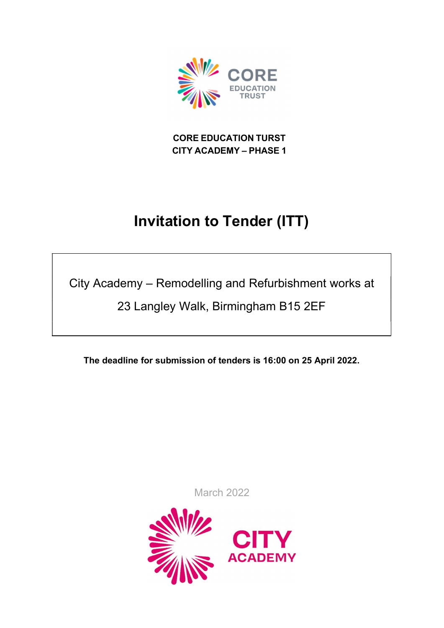

CORE EDUCATION TURST CITY ACADEMY – PHASE 1

# Invitation to Tender (ITT)

City Academy – Remodelling and Refurbishment works at

23 Langley Walk, Birmingham B15 2EF

The deadline for submission of tenders is 16:00 on 25 April 2022.

March 2022

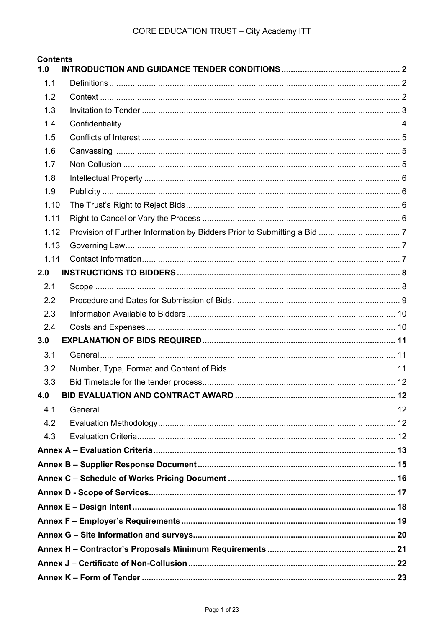| <b>Contents</b><br>1.0 |  |  |  |  |  |
|------------------------|--|--|--|--|--|
| 1.1                    |  |  |  |  |  |
| 1.2                    |  |  |  |  |  |
| 1.3                    |  |  |  |  |  |
| 1.4                    |  |  |  |  |  |
| 1.5                    |  |  |  |  |  |
| 1.6                    |  |  |  |  |  |
| 1.7                    |  |  |  |  |  |
| 1.8                    |  |  |  |  |  |
| 1.9                    |  |  |  |  |  |
| 1.10                   |  |  |  |  |  |
| 1.11                   |  |  |  |  |  |
| 1.12                   |  |  |  |  |  |
| 1.13                   |  |  |  |  |  |
| 1.14                   |  |  |  |  |  |
| 2.0                    |  |  |  |  |  |
| 2.1                    |  |  |  |  |  |
| 2.2                    |  |  |  |  |  |
| 2.3                    |  |  |  |  |  |
| 2.4                    |  |  |  |  |  |
| 3.0                    |  |  |  |  |  |
| 3.1                    |  |  |  |  |  |
| 3.2                    |  |  |  |  |  |
| 3.3                    |  |  |  |  |  |
| 4.0                    |  |  |  |  |  |
| 4.1                    |  |  |  |  |  |
| 4.2                    |  |  |  |  |  |
| 4.3                    |  |  |  |  |  |
|                        |  |  |  |  |  |
|                        |  |  |  |  |  |
|                        |  |  |  |  |  |
|                        |  |  |  |  |  |
|                        |  |  |  |  |  |
|                        |  |  |  |  |  |
|                        |  |  |  |  |  |
|                        |  |  |  |  |  |
|                        |  |  |  |  |  |
|                        |  |  |  |  |  |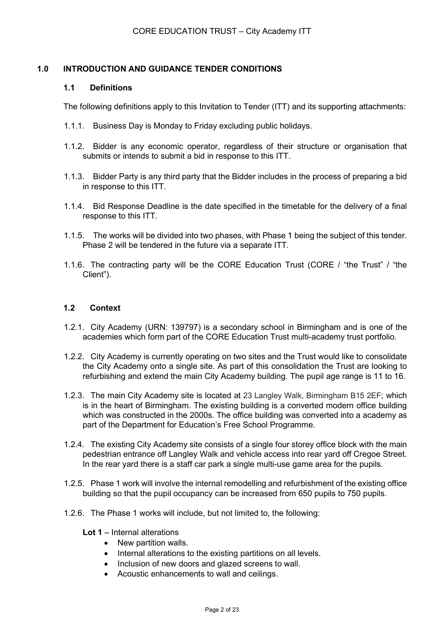# 1.0 INTRODUCTION AND GUIDANCE TENDER CONDITIONS

#### 1.1 Definitions

The following definitions apply to this Invitation to Tender (ITT) and its supporting attachments:

- 1.1.1. Business Day is Monday to Friday excluding public holidays.
- 1.1.2. Bidder is any economic operator, regardless of their structure or organisation that submits or intends to submit a bid in response to this ITT.
- 1.1.3. Bidder Party is any third party that the Bidder includes in the process of preparing a bid in response to this ITT.
- 1.1.4. Bid Response Deadline is the date specified in the timetable for the delivery of a final response to this ITT.
- 1.1.5. The works will be divided into two phases, with Phase 1 being the subject of this tender. Phase 2 will be tendered in the future via a separate ITT.
- 1.1.6. The contracting party will be the CORE Education Trust (CORE / "the Trust" / "the Client").

#### 1.2 Context

- 1.2.1. City Academy (URN: 139797) is a secondary school in Birmingham and is one of the academies which form part of the CORE Education Trust multi-academy trust portfolio.
- 1.2.2. City Academy is currently operating on two sites and the Trust would like to consolidate the City Academy onto a single site. As part of this consolidation the Trust are looking to refurbishing and extend the main City Academy building. The pupil age range is 11 to 16.
- 1.2.3. The main City Academy site is located at 23 Langley Walk, Birmingham B15 2EF; which is in the heart of Birmingham. The existing building is a converted modern office building which was constructed in the 2000s. The office building was converted into a academy as part of the Department for Education's Free School Programme.
- 1.2.4. The existing City Academy site consists of a single four storey office block with the main pedestrian entrance off Langley Walk and vehicle access into rear yard off Cregoe Street. In the rear yard there is a staff car park a single multi-use game area for the pupils.
- 1.2.5. Phase 1 work will involve the internal remodelling and refurbishment of the existing office building so that the pupil occupancy can be increased from 650 pupils to 750 pupils.
- 1.2.6. The Phase 1 works will include, but not limited to, the following:
	- Lot 1 Internal alterations
		- New partition walls.
		- Internal alterations to the existing partitions on all levels.
		- Inclusion of new doors and glazed screens to wall.
		- Acoustic enhancements to wall and ceilings.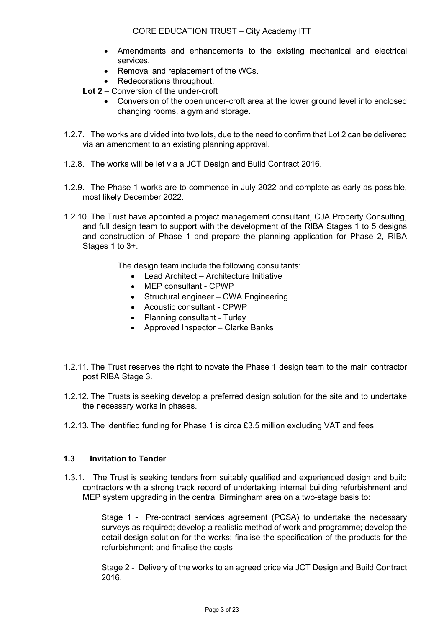- Amendments and enhancements to the existing mechanical and electrical services.
- Removal and replacement of the WCs.
- Redecorations throughout.
- Lot 2 Conversion of the under-croft
	- Conversion of the open under-croft area at the lower ground level into enclosed changing rooms, a gym and storage.
- 1.2.7. The works are divided into two lots, due to the need to confirm that Lot 2 can be delivered via an amendment to an existing planning approval.
- 1.2.8. The works will be let via a JCT Design and Build Contract 2016.
- 1.2.9. The Phase 1 works are to commence in July 2022 and complete as early as possible, most likely December 2022.
- 1.2.10. The Trust have appointed a project management consultant, CJA Property Consulting, and full design team to support with the development of the RIBA Stages 1 to 5 designs and construction of Phase 1 and prepare the planning application for Phase 2, RIBA Stages 1 to 3+.

The design team include the following consultants:

- Lead Architect Architecture Initiative
- MEP consultant CPWP
- Structural engineer CWA Engineering
- Acoustic consultant CPWP
- Planning consultant Turley
- Approved Inspector Clarke Banks
- 1.2.11. The Trust reserves the right to novate the Phase 1 design team to the main contractor post RIBA Stage 3.
- 1.2.12. The Trusts is seeking develop a preferred design solution for the site and to undertake the necessary works in phases.
- 1.2.13. The identified funding for Phase 1 is circa £3.5 million excluding VAT and fees.

# 1.3 Invitation to Tender

1.3.1. The Trust is seeking tenders from suitably qualified and experienced design and build contractors with a strong track record of undertaking internal building refurbishment and MEP system upgrading in the central Birmingham area on a two-stage basis to:

> Stage 1 - Pre-contract services agreement (PCSA) to undertake the necessary surveys as required; develop a realistic method of work and programme; develop the detail design solution for the works; finalise the specification of the products for the refurbishment; and finalise the costs.

> Stage 2 - Delivery of the works to an agreed price via JCT Design and Build Contract 2016.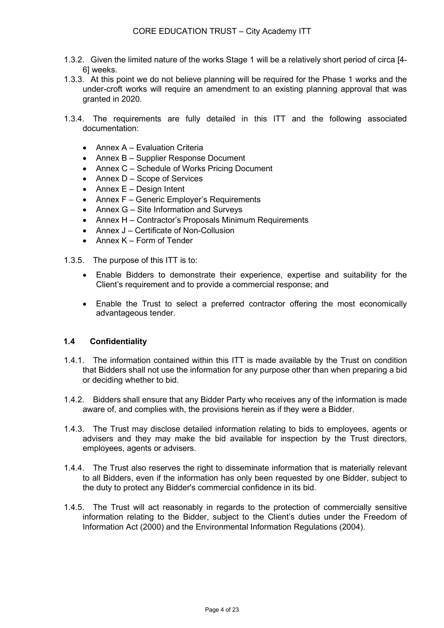- 1.3.2. Given the limited nature of the works Stage 1 will be a relatively short period of circa [4- 6] weeks.
- 1.3.3. At this point we do not believe planning will be required for the Phase 1 works and the under-croft works will require an amendment to an existing planning approval that was granted in 2020.
- 1.3.4. The requirements are fully detailed in this ITT and the following associated documentation:
	- Annex A Evaluation Criteria
	- Annex B Supplier Response Document
	- Annex C Schedule of Works Pricing Document
	- $\bullet$  Annex D Scope of Services
	- $\bullet$  Annex E Design Intent
	- Annex F Generic Employer's Requirements
	- Annex G Site Information and Surveys
	- Annex H Contractor's Proposals Minimum Requirements
	- Annex J Certificate of Non-Collusion
	- $\bullet$  Annex K Form of Tender
- 1.3.5. The purpose of this ITT is to:
	- Enable Bidders to demonstrate their experience, expertise and suitability for the Client's requirement and to provide a commercial response; and
	- Enable the Trust to select a preferred contractor offering the most economically advantageous tender.

#### 1.4 Confidentiality

- 1.4.1. The information contained within this ITT is made available by the Trust on condition that Bidders shall not use the information for any purpose other than when preparing a bid or deciding whether to bid.
- 1.4.2. Bidders shall ensure that any Bidder Party who receives any of the information is made aware of, and complies with, the provisions herein as if they were a Bidder.
- 1.4.3. The Trust may disclose detailed information relating to bids to employees, agents or advisers and they may make the bid available for inspection by the Trust directors, employees, agents or advisers.
- 1.4.4. The Trust also reserves the right to disseminate information that is materially relevant to all Bidders, even if the information has only been requested by one Bidder, subject to the duty to protect any Bidder's commercial confidence in its bid.
- 1.4.5. The Trust will act reasonably in regards to the protection of commercially sensitive information relating to the Bidder, subject to the Client's duties under the Freedom of Information Act (2000) and the Environmental Information Regulations (2004).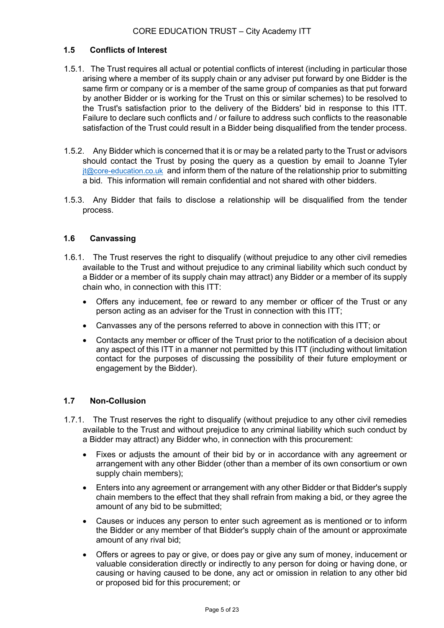# 1.5 Conflicts of Interest

- 1.5.1. The Trust requires all actual or potential conflicts of interest (including in particular those arising where a member of its supply chain or any adviser put forward by one Bidder is the same firm or company or is a member of the same group of companies as that put forward by another Bidder or is working for the Trust on this or similar schemes) to be resolved to the Trust's satisfaction prior to the delivery of the Bidders' bid in response to this ITT. Failure to declare such conflicts and / or failure to address such conflicts to the reasonable satisfaction of the Trust could result in a Bidder being disqualified from the tender process.
- 1.5.2. Any Bidder which is concerned that it is or may be a related party to the Trust or advisors should contact the Trust by posing the query as a question by email to Joanne Tyler jt@core-education.co.uk and inform them of the nature of the relationship prior to submitting a bid. This information will remain confidential and not shared with other bidders.
- 1.5.3. Any Bidder that fails to disclose a relationship will be disqualified from the tender process.

# 1.6 Canvassing

- 1.6.1. The Trust reserves the right to disqualify (without prejudice to any other civil remedies available to the Trust and without prejudice to any criminal liability which such conduct by a Bidder or a member of its supply chain may attract) any Bidder or a member of its supply chain who, in connection with this ITT:
	- Offers any inducement, fee or reward to any member or officer of the Trust or any person acting as an adviser for the Trust in connection with this ITT;
	- Canvasses any of the persons referred to above in connection with this ITT; or
	- Contacts any member or officer of the Trust prior to the notification of a decision about any aspect of this ITT in a manner not permitted by this ITT (including without limitation contact for the purposes of discussing the possibility of their future employment or engagement by the Bidder).

# 1.7 Non-Collusion

- 1.7.1. The Trust reserves the right to disqualify (without prejudice to any other civil remedies available to the Trust and without prejudice to any criminal liability which such conduct by a Bidder may attract) any Bidder who, in connection with this procurement:
	- Fixes or adjusts the amount of their bid by or in accordance with any agreement or arrangement with any other Bidder (other than a member of its own consortium or own supply chain members);
	- Enters into any agreement or arrangement with any other Bidder or that Bidder's supply chain members to the effect that they shall refrain from making a bid, or they agree the amount of any bid to be submitted;
	- Causes or induces any person to enter such agreement as is mentioned or to inform the Bidder or any member of that Bidder's supply chain of the amount or approximate amount of any rival bid;
	- Offers or agrees to pay or give, or does pay or give any sum of money, inducement or valuable consideration directly or indirectly to any person for doing or having done, or causing or having caused to be done, any act or omission in relation to any other bid or proposed bid for this procurement; or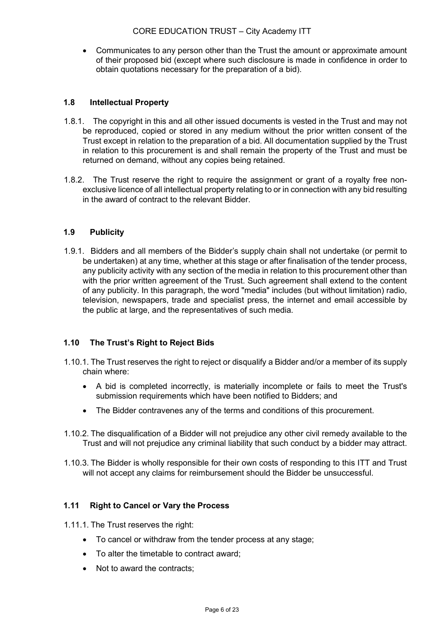Communicates to any person other than the Trust the amount or approximate amount of their proposed bid (except where such disclosure is made in confidence in order to obtain quotations necessary for the preparation of a bid).

# 1.8 Intellectual Property

- 1.8.1. The copyright in this and all other issued documents is vested in the Trust and may not be reproduced, copied or stored in any medium without the prior written consent of the Trust except in relation to the preparation of a bid. All documentation supplied by the Trust in relation to this procurement is and shall remain the property of the Trust and must be returned on demand, without any copies being retained.
- 1.8.2. The Trust reserve the right to require the assignment or grant of a royalty free nonexclusive licence of all intellectual property relating to or in connection with any bid resulting in the award of contract to the relevant Bidder.

# 1.9 Publicity

1.9.1. Bidders and all members of the Bidder's supply chain shall not undertake (or permit to be undertaken) at any time, whether at this stage or after finalisation of the tender process, any publicity activity with any section of the media in relation to this procurement other than with the prior written agreement of the Trust. Such agreement shall extend to the content of any publicity. In this paragraph, the word "media" includes (but without limitation) radio, television, newspapers, trade and specialist press, the internet and email accessible by the public at large, and the representatives of such media.

# 1.10 The Trust's Right to Reject Bids

- 1.10.1. The Trust reserves the right to reject or disqualify a Bidder and/or a member of its supply chain where:
	- A bid is completed incorrectly, is materially incomplete or fails to meet the Trust's submission requirements which have been notified to Bidders; and
	- The Bidder contravenes any of the terms and conditions of this procurement.
- 1.10.2. The disqualification of a Bidder will not prejudice any other civil remedy available to the Trust and will not prejudice any criminal liability that such conduct by a bidder may attract.
- 1.10.3. The Bidder is wholly responsible for their own costs of responding to this ITT and Trust will not accept any claims for reimbursement should the Bidder be unsuccessful.

# 1.11 Right to Cancel or Vary the Process

1.11.1. The Trust reserves the right:

- To cancel or withdraw from the tender process at any stage;
- To alter the timetable to contract award;
- Not to award the contracts;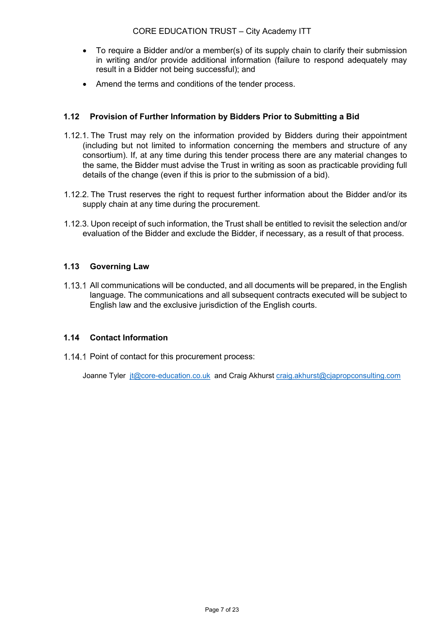- To require a Bidder and/or a member(s) of its supply chain to clarify their submission in writing and/or provide additional information (failure to respond adequately may result in a Bidder not being successful); and
- Amend the terms and conditions of the tender process.

# 1.12 Provision of Further Information by Bidders Prior to Submitting a Bid

- 1.12.1. The Trust may rely on the information provided by Bidders during their appointment (including but not limited to information concerning the members and structure of any consortium). If, at any time during this tender process there are any material changes to the same, the Bidder must advise the Trust in writing as soon as practicable providing full details of the change (even if this is prior to the submission of a bid).
- 1.12.2. The Trust reserves the right to request further information about the Bidder and/or its supply chain at any time during the procurement.
- 1.12.3. Upon receipt of such information, the Trust shall be entitled to revisit the selection and/or evaluation of the Bidder and exclude the Bidder, if necessary, as a result of that process.

# 1.13 Governing Law

1.13.1 All communications will be conducted, and all documents will be prepared, in the English language. The communications and all subsequent contracts executed will be subject to English law and the exclusive jurisdiction of the English courts.

# 1.14 Contact Information

1.14.1 Point of contact for this procurement process:

Joanne Tyler jt@core-education.co.uk and Craig Akhurst craig.akhurst@cjapropconsulting.com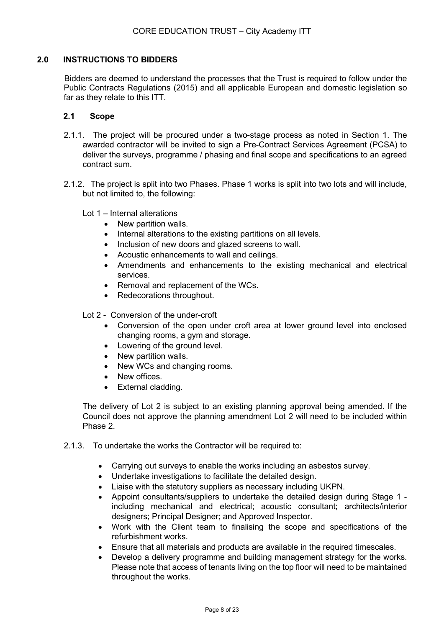# 2.0 INSTRUCTIONS TO BIDDERS

Bidders are deemed to understand the processes that the Trust is required to follow under the Public Contracts Regulations (2015) and all applicable European and domestic legislation so far as they relate to this ITT.

# 2.1 Scope

- 2.1.1. The project will be procured under a two-stage process as noted in Section 1. The awarded contractor will be invited to sign a Pre-Contract Services Agreement (PCSA) to deliver the surveys, programme / phasing and final scope and specifications to an agreed contract sum.
- 2.1.2. The project is split into two Phases. Phase 1 works is split into two lots and will include, but not limited to, the following:
	- Lot 1 Internal alterations
		- New partition walls.
		- Internal alterations to the existing partitions on all levels.
		- Inclusion of new doors and glazed screens to wall.
		- Acoustic enhancements to wall and ceilings.
		- Amendments and enhancements to the existing mechanical and electrical services.
		- Removal and replacement of the WCs.
		- Redecorations throughout.

Lot 2 - Conversion of the under-croft

- Conversion of the open under croft area at lower ground level into enclosed changing rooms, a gym and storage.
- Lowering of the ground level.
- New partition walls.
- New WCs and changing rooms.
- New offices.
- External cladding.

The delivery of Lot 2 is subject to an existing planning approval being amended. If the Council does not approve the planning amendment Lot 2 will need to be included within Phase 2.

- 2.1.3. To undertake the works the Contractor will be required to:
	- Carrying out surveys to enable the works including an asbestos survey.
	- Undertake investigations to facilitate the detailed design.
	- Liaise with the statutory suppliers as necessary including UKPN.
	- Appoint consultants/suppliers to undertake the detailed design during Stage 1 including mechanical and electrical; acoustic consultant; architects/interior designers; Principal Designer; and Approved Inspector.
	- Work with the Client team to finalising the scope and specifications of the refurbishment works.
	- Ensure that all materials and products are available in the required timescales.
	- Develop a delivery programme and building management strategy for the works. Please note that access of tenants living on the top floor will need to be maintained throughout the works.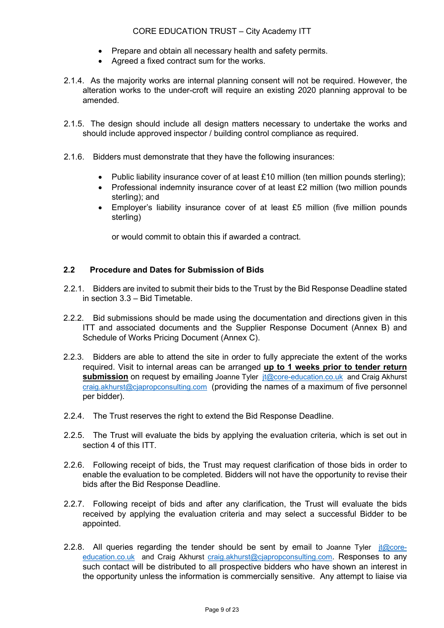- Prepare and obtain all necessary health and safety permits.
- Agreed a fixed contract sum for the works.
- 2.1.4. As the majority works are internal planning consent will not be required. However, the alteration works to the under-croft will require an existing 2020 planning approval to be amended.
- 2.1.5. The design should include all design matters necessary to undertake the works and should include approved inspector / building control compliance as required.
- 2.1.6. Bidders must demonstrate that they have the following insurances:
	- Public liability insurance cover of at least  $£10$  million (ten million pounds sterling);
	- Professional indemnity insurance cover of at least £2 million (two million pounds sterling); and
	- Employer's liability insurance cover of at least £5 million (five million pounds sterling)

or would commit to obtain this if awarded a contract.

# 2.2 Procedure and Dates for Submission of Bids

- 2.2.1. Bidders are invited to submit their bids to the Trust by the Bid Response Deadline stated in section 3.3 – Bid Timetable.
- 2.2.2. Bid submissions should be made using the documentation and directions given in this ITT and associated documents and the Supplier Response Document (Annex B) and Schedule of Works Pricing Document (Annex C).
- 2.2.3. Bidders are able to attend the site in order to fully appreciate the extent of the works required. Visit to internal areas can be arranged up to 1 weeks prior to tender return submission on request by emailing Joanne Tyler it@core-education.co.uk and Craig Akhurst craig.akhurst@cjapropconsulting.com (providing the names of a maximum of five personnel per bidder).
- 2.2.4. The Trust reserves the right to extend the Bid Response Deadline.
- 2.2.5. The Trust will evaluate the bids by applying the evaluation criteria, which is set out in section 4 of this ITT.
- 2.2.6. Following receipt of bids, the Trust may request clarification of those bids in order to enable the evaluation to be completed. Bidders will not have the opportunity to revise their bids after the Bid Response Deadline.
- 2.2.7. Following receipt of bids and after any clarification, the Trust will evaluate the bids received by applying the evaluation criteria and may select a successful Bidder to be appointed.
- 2.2.8. All queries regarding the tender should be sent by email to Joanne Tyler  $it@core$ education.co.uk and Craig Akhurst craig.akhurst@cjapropconsulting.com. Responses to any such contact will be distributed to all prospective bidders who have shown an interest in the opportunity unless the information is commercially sensitive. Any attempt to liaise via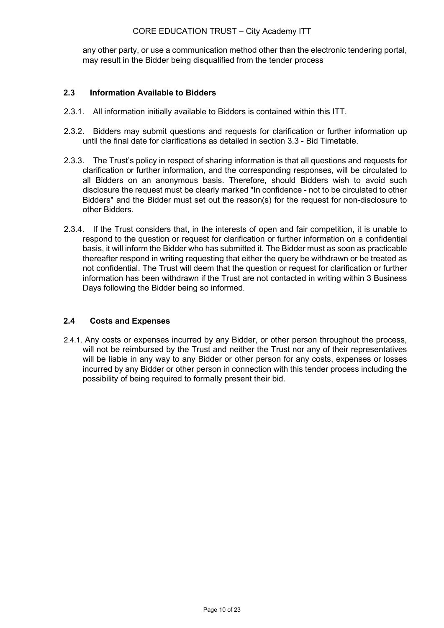# CORE EDUCATION TRUST – City Academy ITT

any other party, or use a communication method other than the electronic tendering portal, may result in the Bidder being disqualified from the tender process

# 2.3 Information Available to Bidders

- 2.3.1. All information initially available to Bidders is contained within this ITT.
- 2.3.2. Bidders may submit questions and requests for clarification or further information up until the final date for clarifications as detailed in section 3.3 - Bid Timetable.
- 2.3.3. The Trust's policy in respect of sharing information is that all questions and requests for clarification or further information, and the corresponding responses, will be circulated to all Bidders on an anonymous basis. Therefore, should Bidders wish to avoid such disclosure the request must be clearly marked "In confidence - not to be circulated to other Bidders" and the Bidder must set out the reason(s) for the request for non-disclosure to other Bidders.
- 2.3.4. If the Trust considers that, in the interests of open and fair competition, it is unable to respond to the question or request for clarification or further information on a confidential basis, it will inform the Bidder who has submitted it. The Bidder must as soon as practicable thereafter respond in writing requesting that either the query be withdrawn or be treated as not confidential. The Trust will deem that the question or request for clarification or further information has been withdrawn if the Trust are not contacted in writing within 3 Business Days following the Bidder being so informed.

# 2.4 Costs and Expenses

2.4.1.Any costs or expenses incurred by any Bidder, or other person throughout the process, will not be reimbursed by the Trust and neither the Trust nor any of their representatives will be liable in any way to any Bidder or other person for any costs, expenses or losses incurred by any Bidder or other person in connection with this tender process including the possibility of being required to formally present their bid.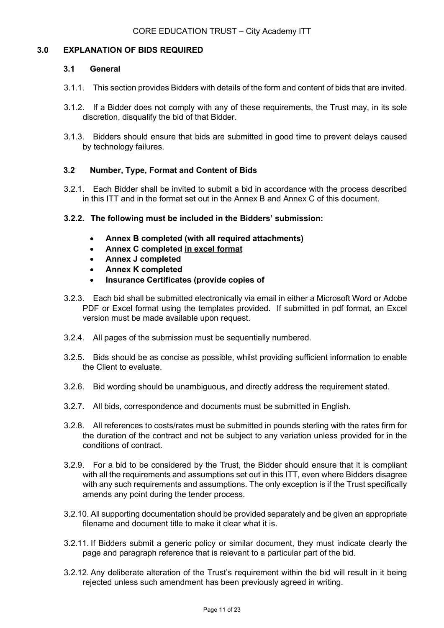### 3.0 EXPLANATION OF BIDS REQUIRED

#### 3.1 General

- 3.1.1. This section provides Bidders with details of the form and content of bids that are invited.
- 3.1.2. If a Bidder does not comply with any of these requirements, the Trust may, in its sole discretion, disqualify the bid of that Bidder.
- 3.1.3. Bidders should ensure that bids are submitted in good time to prevent delays caused by technology failures.

# 3.2 Number, Type, Format and Content of Bids

3.2.1. Each Bidder shall be invited to submit a bid in accordance with the process described in this ITT and in the format set out in the Annex B and Annex C of this document.

### 3.2.2. The following must be included in the Bidders' submission:

- Annex B completed (with all required attachments)
- Annex C completed in excel format
- Annex J completed
- Annex K completed
- Insurance Certificates (provide copies of
- 3.2.3. Each bid shall be submitted electronically via email in either a Microsoft Word or Adobe PDF or Excel format using the templates provided. If submitted in pdf format, an Excel version must be made available upon request.
- 3.2.4. All pages of the submission must be sequentially numbered.
- 3.2.5. Bids should be as concise as possible, whilst providing sufficient information to enable the Client to evaluate.
- 3.2.6. Bid wording should be unambiguous, and directly address the requirement stated.
- 3.2.7. All bids, correspondence and documents must be submitted in English.
- 3.2.8. All references to costs/rates must be submitted in pounds sterling with the rates firm for the duration of the contract and not be subject to any variation unless provided for in the conditions of contract.
- 3.2.9. For a bid to be considered by the Trust, the Bidder should ensure that it is compliant with all the requirements and assumptions set out in this ITT, even where Bidders disagree with any such requirements and assumptions. The only exception is if the Trust specifically amends any point during the tender process.
- 3.2.10. All supporting documentation should be provided separately and be given an appropriate filename and document title to make it clear what it is.
- 3.2.11. If Bidders submit a generic policy or similar document, they must indicate clearly the page and paragraph reference that is relevant to a particular part of the bid.
- 3.2.12. Any deliberate alteration of the Trust's requirement within the bid will result in it being rejected unless such amendment has been previously agreed in writing.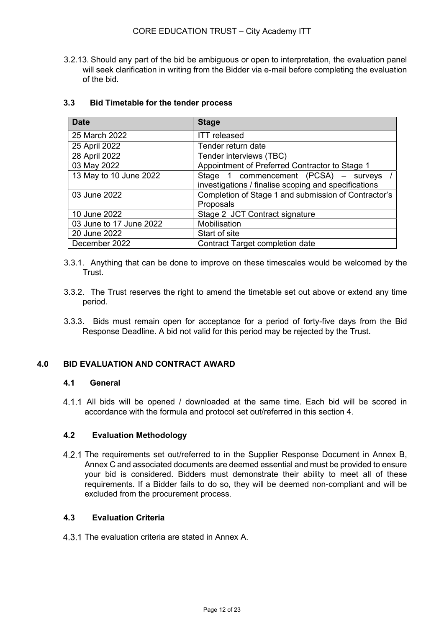3.2.13. Should any part of the bid be ambiguous or open to interpretation, the evaluation panel will seek clarification in writing from the Bidder via e-mail before completing the evaluation of the bid.

| <b>Date</b>             | <b>Stage</b>                                         |  |  |  |
|-------------------------|------------------------------------------------------|--|--|--|
| 25 March 2022           | <b>ITT</b> released                                  |  |  |  |
| 25 April 2022           | Tender return date                                   |  |  |  |
| 28 April 2022           | Tender interviews (TBC)                              |  |  |  |
| 03 May 2022             | Appointment of Preferred Contractor to Stage 1       |  |  |  |
| 13 May to 10 June 2022  | Stage 1 commencement (PCSA) - surveys /              |  |  |  |
|                         | investigations / finalise scoping and specifications |  |  |  |
| 03 June 2022            | Completion of Stage 1 and submission of Contractor's |  |  |  |
|                         | Proposals                                            |  |  |  |
| 10 June 2022            | Stage 2 JCT Contract signature                       |  |  |  |
| 03 June to 17 June 2022 | Mobilisation                                         |  |  |  |
| 20 June 2022            | Start of site                                        |  |  |  |
| December 2022           | Contract Target completion date                      |  |  |  |

### 3.3 Bid Timetable for the tender process

- 3.3.1. Anything that can be done to improve on these timescales would be welcomed by the Trust.
- 3.3.2. The Trust reserves the right to amend the timetable set out above or extend any time period.
- 3.3.3. Bids must remain open for acceptance for a period of forty-five days from the Bid Response Deadline. A bid not valid for this period may be rejected by the Trust.

# 4.0 BID EVALUATION AND CONTRACT AWARD

### 4.1 General

All bids will be opened / downloaded at the same time. Each bid will be scored in accordance with the formula and protocol set out/referred in this section 4.

#### 4.2 Evaluation Methodology

4.2.1 The requirements set out/referred to in the Supplier Response Document in Annex B, Annex C and associated documents are deemed essential and must be provided to ensure your bid is considered. Bidders must demonstrate their ability to meet all of these requirements. If a Bidder fails to do so, they will be deemed non-compliant and will be excluded from the procurement process.

#### 4.3 Evaluation Criteria

4.3.1 The evaluation criteria are stated in Annex A.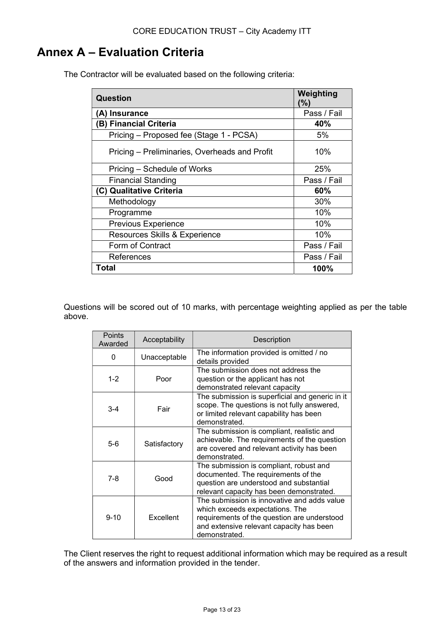# Annex A – Evaluation Criteria

| <b>Question</b>                               | Weighting<br>(%) |
|-----------------------------------------------|------------------|
| (A) Insurance                                 | Pass / Fail      |
| (B) Financial Criteria                        | 40%              |
| Pricing – Proposed fee (Stage 1 - PCSA)       | 5%               |
| Pricing – Preliminaries, Overheads and Profit | 10%              |
| Pricing – Schedule of Works                   | 25%              |
| <b>Financial Standing</b>                     | Pass / Fail      |
| (C) Qualitative Criteria                      | 60%              |
| Methodology                                   | 30%              |
| Programme                                     | 10%              |
| <b>Previous Experience</b>                    | 10%              |
| Resources Skills & Experience                 | 10%              |
| Form of Contract                              | Pass / Fail      |
| References                                    | Pass / Fail      |
| Total                                         | 100%             |

The Contractor will be evaluated based on the following criteria:

Questions will be scored out of 10 marks, with percentage weighting applied as per the table above.

| Points<br>Awarded | Acceptability | Description                                                                                                                                                                                |  |
|-------------------|---------------|--------------------------------------------------------------------------------------------------------------------------------------------------------------------------------------------|--|
| 0                 | Unacceptable  | The information provided is omitted / no<br>details provided                                                                                                                               |  |
| $1 - 2$           | Poor          | The submission does not address the<br>question or the applicant has not<br>demonstrated relevant capacity                                                                                 |  |
| $3 - 4$           | Fair          | The submission is superficial and generic in it<br>scope. The questions is not fully answered,<br>or limited relevant capability has been<br>demonstrated.                                 |  |
| $5-6$             | Satisfactory  | The submission is compliant, realistic and<br>achievable. The requirements of the question<br>are covered and relevant activity has been<br>demonstrated.                                  |  |
| 7-8               | Good          | The submission is compliant, robust and<br>documented. The requirements of the<br>question are understood and substantial<br>relevant capacity has been demonstrated.                      |  |
| $9 - 10$          | Excellent     | The submission is innovative and adds value<br>which exceeds expectations. The<br>requirements of the question are understood<br>and extensive relevant capacity has been<br>demonstrated. |  |

The Client reserves the right to request additional information which may be required as a result of the answers and information provided in the tender.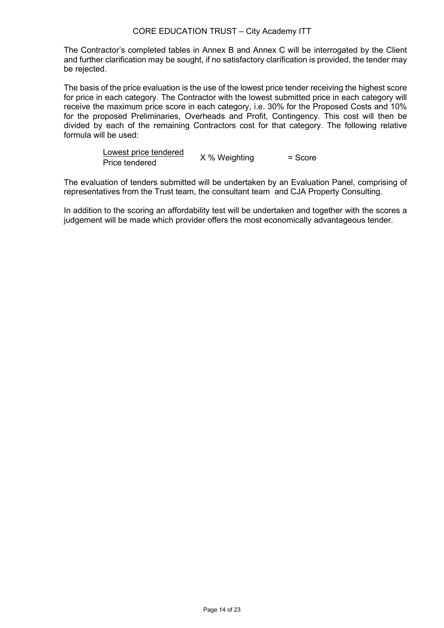# CORE EDUCATION TRUST – City Academy ITT

The Contractor's completed tables in Annex B and Annex C will be interrogated by the Client and further clarification may be sought, if no satisfactory clarification is provided, the tender may be rejected.

The basis of the price evaluation is the use of the lowest price tender receiving the highest score for price in each category. The Contractor with the lowest submitted price in each category will receive the maximum price score in each category, i.e. 30% for the Proposed Costs and 10% for the proposed Preliminaries, Overheads and Profit, Contingency. This cost will then be divided by each of the remaining Contractors cost for that category. The following relative formula will be used:

| Lowest price tendered |               |           |
|-----------------------|---------------|-----------|
| Price tendered        | X % Weighting | $=$ Score |

The evaluation of tenders submitted will be undertaken by an Evaluation Panel, comprising of representatives from the Trust team, the consultant team and CJA Property Consulting.

In addition to the scoring an affordability test will be undertaken and together with the scores a judgement will be made which provider offers the most economically advantageous tender.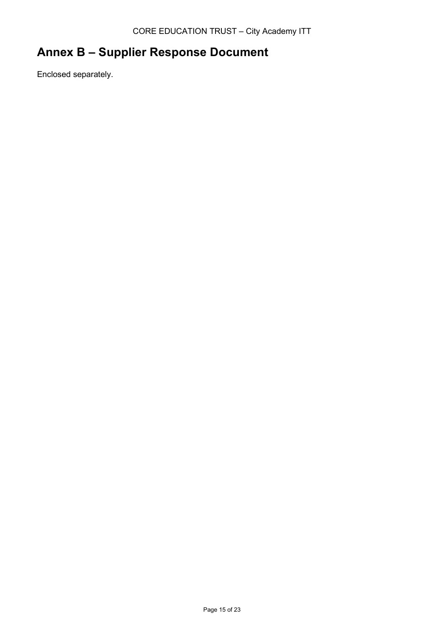# Annex B – Supplier Response Document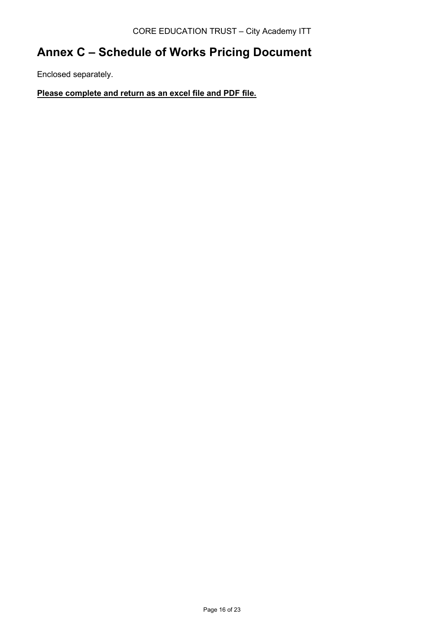# Annex C – Schedule of Works Pricing Document

Enclosed separately.

Please complete and return as an excel file and PDF file.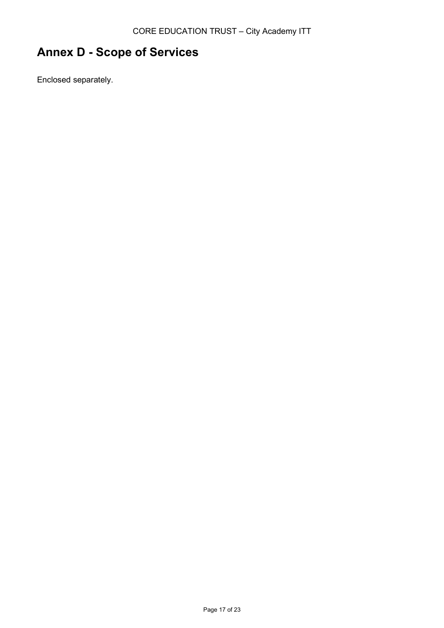# Annex D - Scope of Services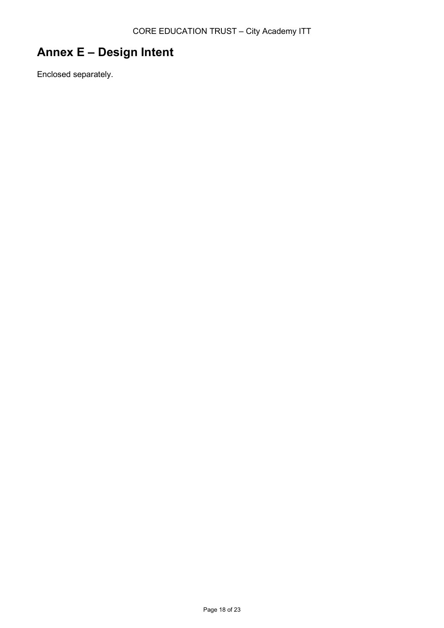# Annex E – Design Intent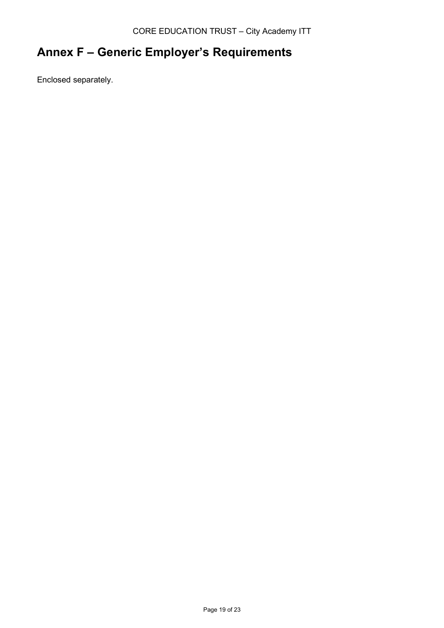# Annex F – Generic Employer's Requirements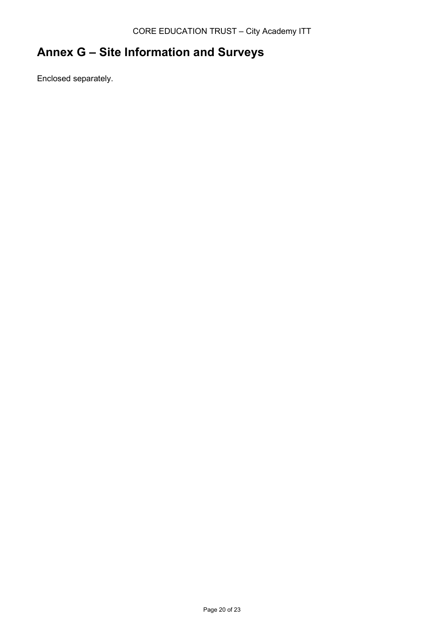# Annex G – Site Information and Surveys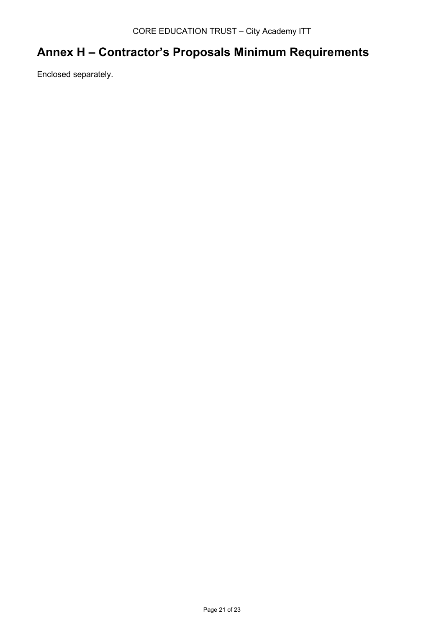# Annex H – Contractor's Proposals Minimum Requirements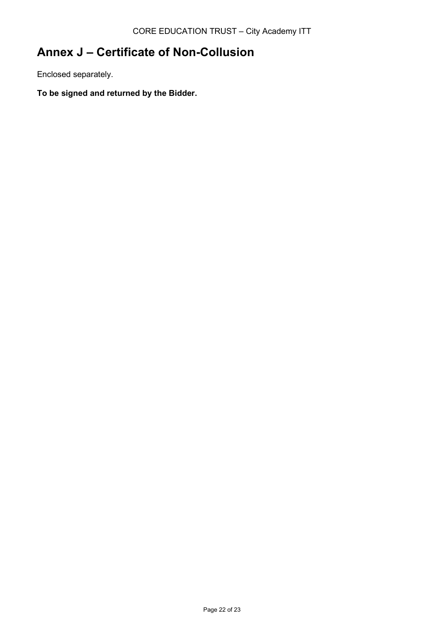# Annex J – Certificate of Non-Collusion

Enclosed separately.

To be signed and returned by the Bidder.